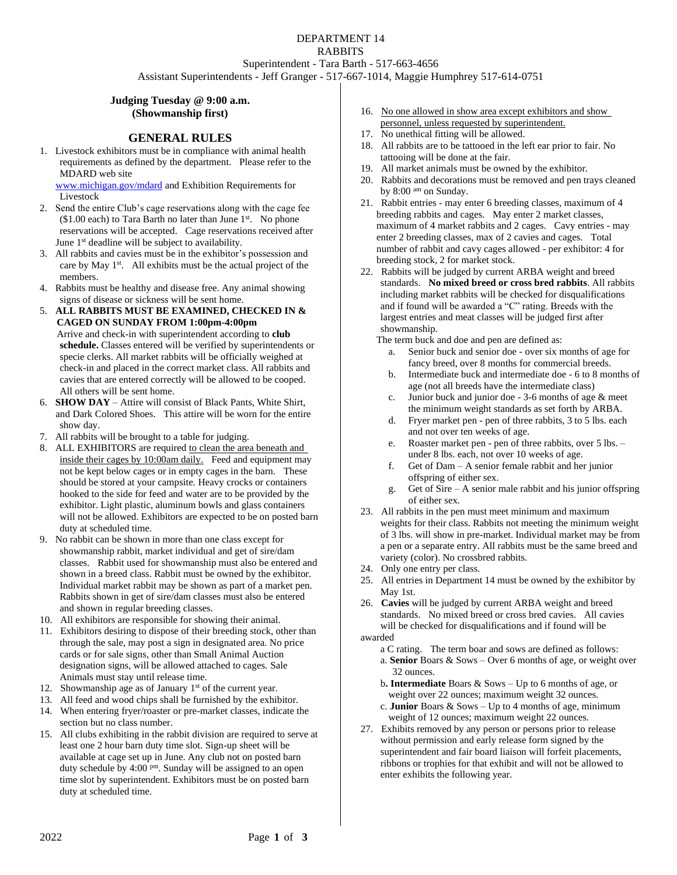# DEPARTMENT 14 RABBITS Superintendent - Tara Barth - 517-663-4656

Assistant Superintendents - Jeff Granger - 517-667-1014, Maggie Humphrey 517-614-0751

## **Judging Tuesday @ 9:00 a.m. (Showmanship first)**

## **GENERAL RULES**

1. Livestock exhibitors must be in compliance with animal health requirements as defined by the department. Please refer to the MDARD web site

[www.michigan.gov/mdard](http://www.michigan.gov/mdard) and Exhibition Requirements for Livestock

- 2. Send the entire Club's cage reservations along with the cage fee  $($1.00 each)$  to Tara Barth no later than June  $1<sup>st</sup>$ . No phone reservations will be accepted. Cage reservations received after June 1 st deadline will be subject to availability.
- 3. All rabbits and cavies must be in the exhibitor's possession and care by May 1st. All exhibits must be the actual project of the members.
- 4. Rabbits must be healthy and disease free. Any animal showing signs of disease or sickness will be sent home.
- 5. **ALL RABBITS MUST BE EXAMINED, CHECKED IN & CAGED ON SUNDAY FROM 1:00pm-4:00pm** Arrive and check-in with superintendent according to **club schedule.** Classes entered will be verified by superintendents or specie clerks. All market rabbits will be officially weighed at check-in and placed in the correct market class. All rabbits and cavies that are entered correctly will be allowed to be cooped. All others will be sent home.
- 6. **SHOW DAY** Attire will consist of Black Pants, White Shirt, and Dark Colored Shoes. This attire will be worn for the entire show day.
- 7. All rabbits will be brought to a table for judging.
- 8. ALL EXHIBITORS are required to clean the area beneath and inside their cages by 10:00am daily. Feed and equipment may not be kept below cages or in empty cages in the barn. These should be stored at your campsite. Heavy crocks or containers hooked to the side for feed and water are to be provided by the exhibitor. Light plastic, aluminum bowls and glass containers will not be allowed. Exhibitors are expected to be on posted barn duty at scheduled time.
- 9. No rabbit can be shown in more than one class except for showmanship rabbit, market individual and get of sire/dam classes. Rabbit used for showmanship must also be entered and shown in a breed class. Rabbit must be owned by the exhibitor. Individual market rabbit may be shown as part of a market pen. Rabbits shown in get of sire/dam classes must also be entered and shown in regular breeding classes.
- 10. All exhibitors are responsible for showing their animal.
- 11. Exhibitors desiring to dispose of their breeding stock, other than through the sale, may post a sign in designated area. No price cards or for sale signs, other than Small Animal Auction designation signs, will be allowed attached to cages. Sale Animals must stay until release time.
- 12. Showmanship age as of January  $1<sup>st</sup>$  of the current year.
- 13. All feed and wood chips shall be furnished by the exhibitor.
- 14. When entering fryer/roaster or pre-market classes, indicate the section but no class number.
- 15. All clubs exhibiting in the rabbit division are required to serve at least one 2 hour barn duty time slot. Sign-up sheet will be available at cage set up in June. Any club not on posted barn duty schedule by 4:00 pm. Sunday will be assigned to an open time slot by superintendent. Exhibitors must be on posted barn duty at scheduled time.
- 16. No one allowed in show area except exhibitors and show personnel, unless requested by superintendent.
- 17. No unethical fitting will be allowed.
- 18. All rabbits are to be tattooed in the left ear prior to fair. No tattooing will be done at the fair.
- 19. All market animals must be owned by the exhibitor.
- 20. Rabbits and decorations must be removed and pen trays cleaned by 8:00 am on Sunday.
- 21. Rabbit entries may enter 6 breeding classes, maximum of 4 breeding rabbits and cages. May enter 2 market classes, maximum of 4 market rabbits and 2 cages. Cavy entries - may enter 2 breeding classes, max of 2 cavies and cages. Total number of rabbit and cavy cages allowed - per exhibitor: 4 for breeding stock, 2 for market stock.
- 22. Rabbits will be judged by current ARBA weight and breed standards. **No mixed breed or cross bred rabbits**. All rabbits including market rabbits will be checked for disqualifications and if found will be awarded a "C" rating. Breeds with the largest entries and meat classes will be judged first after showmanship.
	- The term buck and doe and pen are defined as:
		- a. Senior buck and senior doe over six months of age for fancy breed, over 8 months for commercial breeds.
		- b. Intermediate buck and intermediate doe 6 to 8 months of age (not all breeds have the intermediate class)
		- c. Junior buck and junior doe 3-6 months of age & meet the minimum weight standards as set forth by ARBA.
		- d. Fryer market pen pen of three rabbits, 3 to 5 lbs. each and not over ten weeks of age.
		- e. Roaster market pen pen of three rabbits, over 5 lbs. under 8 lbs. each, not over 10 weeks of age.
		- f. Get of Dam A senior female rabbit and her junior offspring of either sex.
		- g. Get of Sire A senior male rabbit and his junior offspring of either sex.
- 23. All rabbits in the pen must meet minimum and maximum weights for their class. Rabbits not meeting the minimum weight of 3 lbs. will show in pre-market. Individual market may be from a pen or a separate entry. All rabbits must be the same breed and variety (color). No crossbred rabbits.
- 24. Only one entry per class.
- 25. All entries in Department 14 must be owned by the exhibitor by May 1st.
- 26. **Cavies** will be judged by current ARBA weight and breed standards. No mixed breed or cross bred cavies. All cavies will be checked for disqualifications and if found will be awarded
	- a C rating. The term boar and sows are defined as follows: a. **Senior** Boars & Sows – Over 6 months of age, or weight over 32 ounces.
	- b**. Intermediate** Boars & Sows Up to 6 months of age, or weight over 22 ounces; maximum weight 32 ounces.
	- c. **Junior** Boars & Sows Up to 4 months of age, minimum weight of 12 ounces; maximum weight 22 ounces.
- 27. Exhibits removed by any person or persons prior to release without permission and early release form signed by the superintendent and fair board liaison will forfeit placements, ribbons or trophies for that exhibit and will not be allowed to enter exhibits the following year.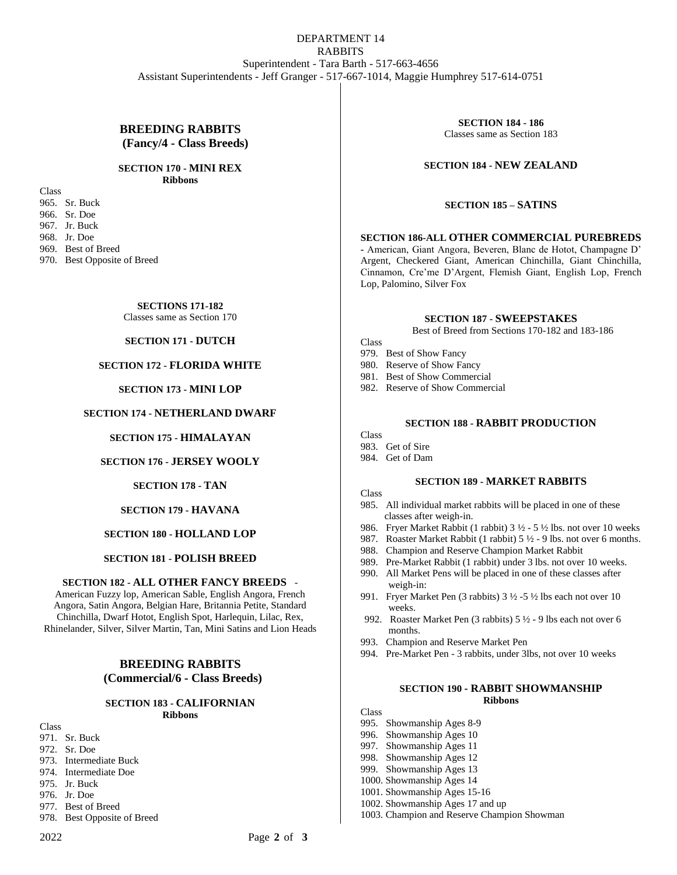## DEPARTMENT 14 RABBITS Superintendent - Tara Barth - 517-663-4656 Assistant Superintendents - Jeff Granger - 517-667-1014, Maggie Humphrey 517-614-0751

## **BREEDING RABBITS (Fancy/4 - Class Breeds)**

#### **SECTION 170 - MINI REX Ribbons**

Class 965. Sr. Buck 966. Sr. Doe 967. Jr. Buck 968. Jr. Doe 969. Best of Breed 970. Best Opposite of Breed

# **SECTIONS 171-182**

Classes same as Section 170

## **SECTION 171 - DUTCH**

## **SECTION 172 - FLORIDA WHITE**

## **SECTION 173 - MINI LOP**

## **SECTION 174 - NETHERLAND DWARF**

#### **SECTION 175 - HIMALAYAN**

#### **SECTION 176 - JERSEY WOOLY**

#### **SECTION 178 - TAN**

## **SECTION 179 - HAVANA**

## **SECTION 180 - HOLLAND LOP**

#### **SECTION 181 - POLISH BREED**

#### **SECTION 182 - ALL OTHER FANCY BREEDS** -

American Fuzzy lop, American Sable, English Angora, French Angora, Satin Angora, Belgian Hare, Britannia Petite, Standard Chinchilla, Dwarf Hotot, English Spot, Harlequin, Lilac, Rex, Rhinelander, Silver, Silver Martin, Tan, Mini Satins and Lion Heads

## **BREEDING RABBITS (Commercial/6 - Class Breeds)**

#### **SECTION 183 - CALIFORNIAN Ribbons**

Class 971. Sr. Buck 972. Sr. Doe 973. Intermediate Buck 974. Intermediate Doe 975. Jr. Buck

- 976. Jr. Doe
- 977. Best of Breed
- 978. Best Opposite of Breed

**SECTION 184 - 186** Classes same as Section 183

#### **SECTION 184 - NEW ZEALAND**

#### **SECTION 185 – SATINS**

#### **SECTION 186-ALL OTHER COMMERCIAL PUREBREDS**

**-** American, Giant Angora, Beveren, Blanc de Hotot, Champagne D' Argent, Checkered Giant, American Chinchilla, Giant Chinchilla, Cinnamon, Cre'me D'Argent, Flemish Giant, English Lop, French Lop, Palomino, Silver Fox

#### **SECTION 187 - SWEEPSTAKES**

Best of Breed from Sections 170-182 and 183-186

- Class
- 979. Best of Show Fancy
- 980. Reserve of Show Fancy
- 981. Best of Show Commercial
- 982. Reserve of Show Commercial

#### **SECTION 188 - RABBIT PRODUCTION**

## **Class**

- 983. Get of Sire
- 984. Get of Dam

#### **SECTION 189 - MARKET RABBITS**

**Class** 

- 985. All individual market rabbits will be placed in one of these classes after weigh-in.
- 986. Fryer Market Rabbit (1 rabbit) 3 ½ 5 ½ lbs. not over 10 weeks
- 987. Roaster Market Rabbit (1 rabbit) 5 ½ 9 lbs. not over 6 months.
- 988. Champion and Reserve Champion Market Rabbit
- 989. Pre-Market Rabbit (1 rabbit) under 3 lbs. not over 10 weeks.
- 990. All Market Pens will be placed in one of these classes after weigh-in:
- 991. Fryer Market Pen (3 rabbits) 3 ½ -5 ½ lbs each not over 10 weeks.
- 992. Roaster Market Pen (3 rabbits) 5 ½ 9 lbs each not over 6 months.
- 993. Champion and Reserve Market Pen
- 994. Pre-Market Pen 3 rabbits, under 3lbs, not over 10 weeks

#### **SECTION 190 - RABBIT SHOWMANSHIP Ribbons**

**Class** 

- 995. Showmanship Ages 8-9
- 996. Showmanship Ages 10
- 997. Showmanship Ages 11
- 998. Showmanship Ages 12
- 999. Showmanship Ages 13
- 1000. Showmanship Ages 14
- 1001. Showmanship Ages 15-16
- 1002. Showmanship Ages 17 and up
- 1003. Champion and Reserve Champion Showman